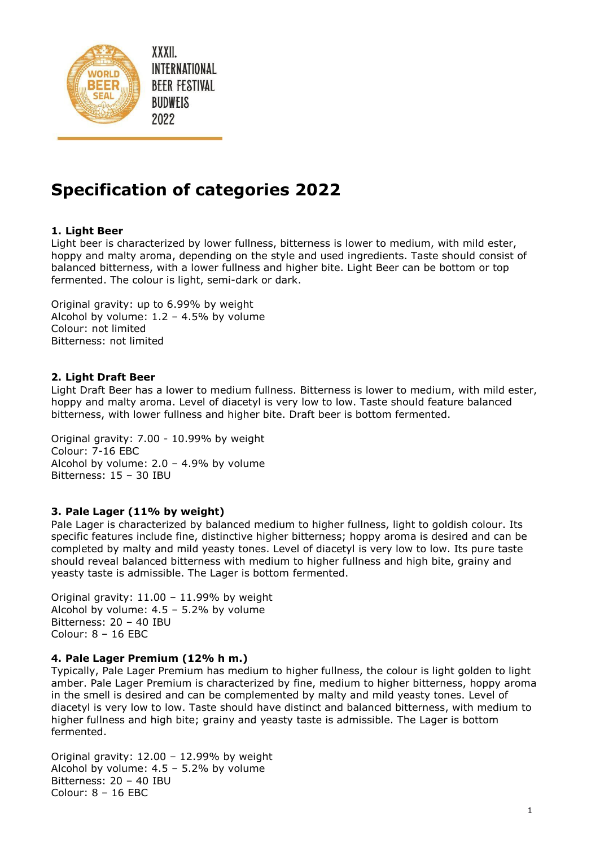

XXXII. INTERNATIONAL **BEER FESTIVAL BUDWEIS** 2022

# **Specification of categories 2022**

# **1. Light Beer**

Light beer is characterized by lower fullness, bitterness is lower to medium, with mild ester, hoppy and malty aroma, depending on the style and used ingredients. Taste should consist of balanced bitterness, with a lower fullness and higher bite. Light Beer can be bottom or top fermented. The colour is light, semi-dark or dark.

Original gravity: up to 6.99% by weight Alcohol by volume:  $1.2 - 4.5\%$  by volume Colour: not limited Bitterness: not limited

## **2. Light Draft Beer**

Light Draft Beer has a lower to medium fullness. Bitterness is lower to medium, with mild ester, hoppy and malty aroma. Level of diacetyl is very low to low. Taste should feature balanced bitterness, with lower fullness and higher bite. Draft beer is bottom fermented.

Original gravity: 7.00 - 10.99% by weight Colour: 7-16 EBC Alcohol by volume:  $2.0 - 4.9%$  by volume Bitterness: 15 – 30 IBU

# **3. Pale Lager (11% by weight)**

Pale Lager is characterized by balanced medium to higher fullness, light to goldish colour. Its specific features include fine, distinctive higher bitterness; hoppy aroma is desired and can be completed by malty and mild yeasty tones. Level of diacetyl is very low to low. Its pure taste should reveal balanced bitterness with medium to higher fullness and high bite, grainy and yeasty taste is admissible. The Lager is bottom fermented.

Original gravity:  $11.00 - 11.99%$  by weight Alcohol by volume: 4.5 – 5.2% by volume Bitterness: 20 – 40 IBU Colour: 8 – 16 EBC

#### **4. Pale Lager Premium (12% h m.)**

Typically, Pale Lager Premium has medium to higher fullness, the colour is light golden to light amber. Pale Lager Premium is characterized by fine, medium to higher bitterness, hoppy aroma in the smell is desired and can be complemented by malty and mild yeasty tones. Level of diacetyl is very low to low. Taste should have distinct and balanced bitterness, with medium to higher fullness and high bite; grainy and yeasty taste is admissible. The Lager is bottom fermented.

Original gravity: 12.00 – 12.99% by weight Alcohol by volume: 4.5 – 5.2% by volume Bitterness: 20 – 40 IBU Colour: 8 – 16 EBC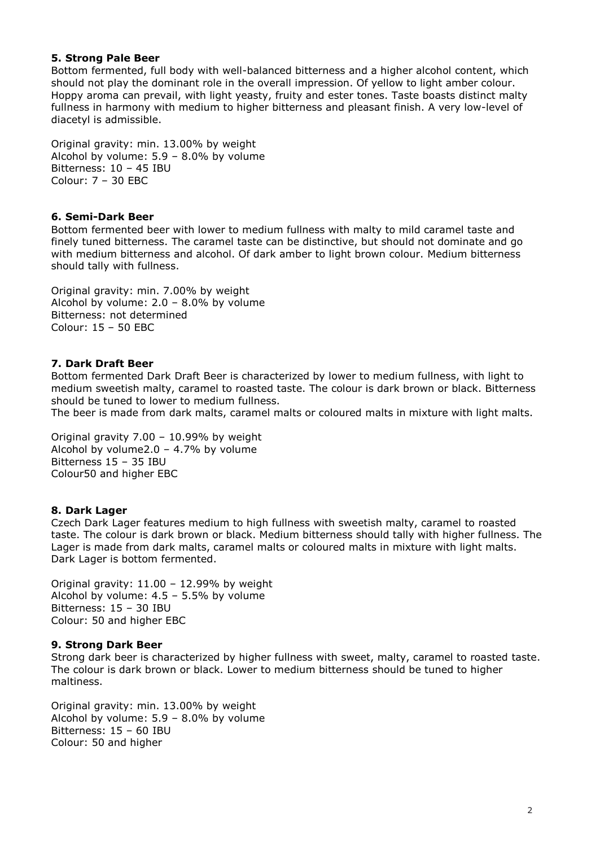## **5. Strong Pale Beer**

Bottom fermented, full body with well-balanced bitterness and a higher alcohol content, which should not play the dominant role in the overall impression. Of yellow to light amber colour. Hoppy aroma can prevail, with light yeasty, fruity and ester tones. Taste boasts distinct malty fullness in harmony with medium to higher bitterness and pleasant finish. A very low-level of diacetyl is admissible.

Original gravity: min. 13.00% by weight Alcohol by volume: 5.9 – 8.0% by volume Bitterness: 10 – 45 IBU Colour: 7 – 30 EBC

## **6. Semi-Dark Beer**

Bottom fermented beer with lower to medium fullness with malty to mild caramel taste and finely tuned bitterness. The caramel taste can be distinctive, but should not dominate and go with medium bitterness and alcohol. Of dark amber to light brown colour. Medium bitterness should tally with fullness.

Original gravity: min. 7.00% by weight Alcohol by volume: 2.0 – 8.0% by volume Bitterness: not determined Colour: 15 – 50 EBC

## **7. Dark Draft Beer**

Bottom fermented Dark Draft Beer is characterized by lower to medium fullness, with light to medium sweetish malty, caramel to roasted taste. The colour is dark brown or black. Bitterness should be tuned to lower to medium fullness.

The beer is made from dark malts, caramel malts or coloured malts in mixture with light malts.

Original gravity 7.00 – 10.99% by weight Alcohol by volume2.0 – 4.7% by volume Bitterness 15 – 35 IBU Colour50 and higher EBC

#### **8. Dark Lager**

Czech Dark Lager features medium to high fullness with sweetish malty, caramel to roasted taste. The colour is dark brown or black. Medium bitterness should tally with higher fullness. The Lager is made from dark malts, caramel malts or coloured malts in mixture with light malts. Dark Lager is bottom fermented.

Original gravity: 11.00 – 12.99% by weight Alcohol by volume:  $4.5 - 5.5%$  by volume Bitterness: 15 – 30 IBU Colour: 50 and higher EBC

#### **9. Strong Dark Beer**

Strong dark beer is characterized by higher fullness with sweet, malty, caramel to roasted taste. The colour is dark brown or black. Lower to medium bitterness should be tuned to higher maltiness.

Original gravity: min. 13.00% by weight Alcohol by volume: 5.9 – 8.0% by volume Bitterness: 15 – 60 IBU Colour: 50 and higher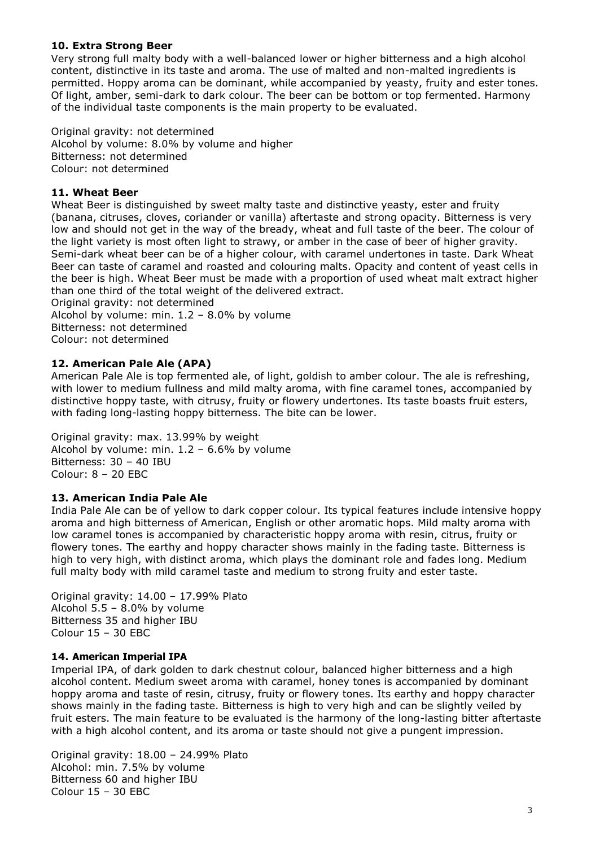# **10. Extra Strong Beer**

Very strong full malty body with a well-balanced lower or higher bitterness and a high alcohol content, distinctive in its taste and aroma. The use of malted and non-malted ingredients is permitted. Hoppy aroma can be dominant, while accompanied by yeasty, fruity and ester tones. Of light, amber, semi-dark to dark colour. The beer can be bottom or top fermented. Harmony of the individual taste components is the main property to be evaluated.

Original gravity: not determined Alcohol by volume: 8.0% by volume and higher Bitterness: not determined Colour: not determined

## **11. Wheat Beer**

Wheat Beer is distinguished by sweet malty taste and distinctive yeasty, ester and fruity (banana, citruses, cloves, coriander or vanilla) aftertaste and strong opacity. Bitterness is very low and should not get in the way of the bready, wheat and full taste of the beer. The colour of the light variety is most often light to strawy, or amber in the case of beer of higher gravity. Semi-dark wheat beer can be of a higher colour, with caramel undertones in taste. Dark Wheat Beer can taste of caramel and roasted and colouring malts. Opacity and content of yeast cells in the beer is high. Wheat Beer must be made with a proportion of used wheat malt extract higher than one third of the total weight of the delivered extract.

Original gravity: not determined

Alcohol by volume: min. 1.2 – 8.0% by volume Bitterness: not determined Colour: not determined

# **12. American Pale Ale (APA)**

American Pale Ale is top fermented ale, of light, goldish to amber colour. The ale is refreshing, with lower to medium fullness and mild malty aroma, with fine caramel tones, accompanied by distinctive hoppy taste, with citrusy, fruity or flowery undertones. Its taste boasts fruit esters, with fading long-lasting hoppy bitterness. The bite can be lower.

Original gravity: max. 13.99% by weight Alcohol by volume: min. 1.2 – 6.6% by volume Bitterness: 30 – 40 IBU Colour: 8 – 20 EBC

# **13. American India Pale Ale**

India Pale Ale can be of yellow to dark copper colour. Its typical features include intensive hoppy aroma and high bitterness of American, English or other aromatic hops. Mild malty aroma with low caramel tones is accompanied by characteristic hoppy aroma with resin, citrus, fruity or flowery tones. The earthy and hoppy character shows mainly in the fading taste. Bitterness is high to very high, with distinct aroma, which plays the dominant role and fades long. Medium full malty body with mild caramel taste and medium to strong fruity and ester taste.

Original gravity: 14.00 – 17.99% Plato Alcohol 5.5 – 8.0% by volume Bitterness 35 and higher IBU Colour 15 – 30 EBC

#### **14. American Imperial IPA**

Imperial IPA, of dark golden to dark chestnut colour, balanced higher bitterness and a high alcohol content. Medium sweet aroma with caramel, honey tones is accompanied by dominant hoppy aroma and taste of resin, citrusy, fruity or flowery tones. Its earthy and hoppy character shows mainly in the fading taste. Bitterness is high to very high and can be slightly veiled by fruit esters. The main feature to be evaluated is the harmony of the long-lasting bitter aftertaste with a high alcohol content, and its aroma or taste should not give a pungent impression.

Original gravity: 18.00 – 24.99% Plato Alcohol: min. 7.5% by volume Bitterness 60 and higher IBU Colour 15 – 30 EBC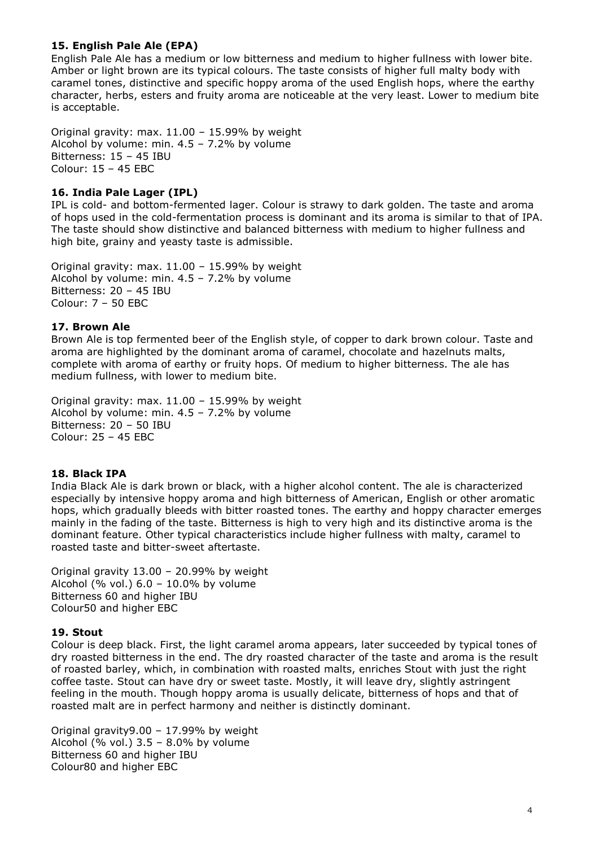# **15. English Pale Ale (EPA)**

English Pale Ale has a medium or low bitterness and medium to higher fullness with lower bite. Amber or light brown are its typical colours. The taste consists of higher full malty body with caramel tones, distinctive and specific hoppy aroma of the used English hops, where the earthy character, herbs, esters and fruity aroma are noticeable at the very least. Lower to medium bite is acceptable.

Original gravity: max. 11.00 – 15.99% by weight Alcohol by volume: min. 4.5 – 7.2% by volume Bitterness: 15 – 45 IBU Colour: 15 – 45 EBC

## **16. India Pale Lager (IPL)**

IPL is cold- and bottom-fermented lager. Colour is strawy to dark golden. The taste and aroma of hops used in the cold-fermentation process is dominant and its aroma is similar to that of IPA. The taste should show distinctive and balanced bitterness with medium to higher fullness and high bite, grainy and yeasty taste is admissible.

Original gravity: max. 11.00 – 15.99% by weight Alcohol by volume: min. 4.5 – 7.2% by volume Bitterness: 20 – 45 IBU Colour: 7 – 50 EBC

## **17. Brown Ale**

Brown Ale is top fermented beer of the English style, of copper to dark brown colour. Taste and aroma are highlighted by the dominant aroma of caramel, chocolate and hazelnuts malts, complete with aroma of earthy or fruity hops. Of medium to higher bitterness. The ale has medium fullness, with lower to medium bite.

Original gravity: max. 11.00 – 15.99% by weight Alcohol by volume: min. 4.5 – 7.2% by volume Bitterness: 20 – 50 IBU Colour: 25 – 45 EBC

#### **18. Black IPA**

India Black Ale is dark brown or black, with a higher alcohol content. The ale is characterized especially by intensive hoppy aroma and high bitterness of American, English or other aromatic hops, which gradually bleeds with bitter roasted tones. The earthy and hoppy character emerges mainly in the fading of the taste. Bitterness is high to very high and its distinctive aroma is the dominant feature. Other typical characteristics include higher fullness with malty, caramel to roasted taste and bitter-sweet aftertaste.

Original gravity 13.00 – 20.99% by weight Alcohol (% vol.) 6.0 – 10.0% by volume Bitterness 60 and higher IBU Colour50 and higher EBC

#### **19. Stout**

Colour is deep black. First, the light caramel aroma appears, later succeeded by typical tones of dry roasted bitterness in the end. The dry roasted character of the taste and aroma is the result of roasted barley, which, in combination with roasted malts, enriches Stout with just the right coffee taste. Stout can have dry or sweet taste. Mostly, it will leave dry, slightly astringent feeling in the mouth. Though hoppy aroma is usually delicate, bitterness of hops and that of roasted malt are in perfect harmony and neither is distinctly dominant.

Original gravity9.00 – 17.99% by weight Alcohol (% vol.) 3.5 – 8.0% by volume Bitterness 60 and higher IBU Colour80 and higher EBC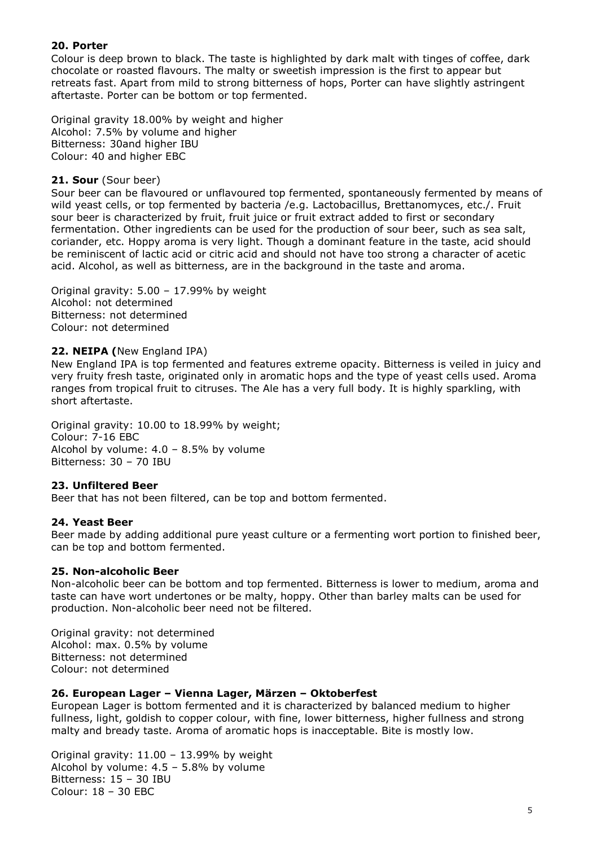# **20. Porter**

Colour is deep brown to black. The taste is highlighted by dark malt with tinges of coffee, dark chocolate or roasted flavours. The malty or sweetish impression is the first to appear but retreats fast. Apart from mild to strong bitterness of hops, Porter can have slightly astringent aftertaste. Porter can be bottom or top fermented.

Original gravity 18.00% by weight and higher Alcohol: 7.5% by volume and higher Bitterness: 30and higher IBU Colour: 40 and higher EBC

#### **21. Sour** (Sour beer)

Sour beer can be flavoured or unflavoured top fermented, spontaneously fermented by means of wild yeast cells, or top fermented by bacteria /e.g. Lactobacillus, Brettanomyces, etc./. Fruit sour beer is characterized by fruit, fruit juice or fruit extract added to first or secondary fermentation. Other ingredients can be used for the production of sour beer, such as sea salt, coriander, etc. Hoppy aroma is very light. Though a dominant feature in the taste, acid should be reminiscent of lactic acid or citric acid and should not have too strong a character of acetic acid. Alcohol, as well as bitterness, are in the background in the taste and aroma.

Original gravity: 5.00 – 17.99% by weight Alcohol: not determined Bitterness: not determined Colour: not determined

## **22. NEIPA (**New England IPA)

New England IPA is top fermented and features extreme opacity. Bitterness is veiled in juicy and very fruity fresh taste, originated only in aromatic hops and the type of yeast cells used. Aroma ranges from tropical fruit to citruses. The Ale has a very full body. It is highly sparkling, with short aftertaste.

Original gravity: 10.00 to 18.99% by weight; Colour: 7-16 EBC Alcohol by volume:  $4.0 - 8.5%$  by volume Bitterness: 30 – 70 IBU

#### **23. Unfiltered Beer**

Beer that has not been filtered, can be top and bottom fermented.

#### **24. Yeast Beer**

Beer made by adding additional pure yeast culture or a fermenting wort portion to finished beer, can be top and bottom fermented.

#### **25. Non-alcoholic Beer**

Non-alcoholic beer can be bottom and top fermented. Bitterness is lower to medium, aroma and taste can have wort undertones or be malty, hoppy. Other than barley malts can be used for production. Non-alcoholic beer need not be filtered.

Original gravity: not determined Alcohol: max. 0.5% by volume Bitterness: not determined Colour: not determined

#### **26. European Lager – Vienna Lager, Märzen – Oktoberfest**

European Lager is bottom fermented and it is characterized by balanced medium to higher fullness, light, goldish to copper colour, with fine, lower bitterness, higher fullness and strong malty and bready taste. Aroma of aromatic hops is inacceptable. Bite is mostly low.

Original gravity: 11.00 – 13.99% by weight Alcohol by volume:  $4.5 - 5.8\%$  by volume Bitterness: 15 – 30 IBU Colour: 18 – 30 EBC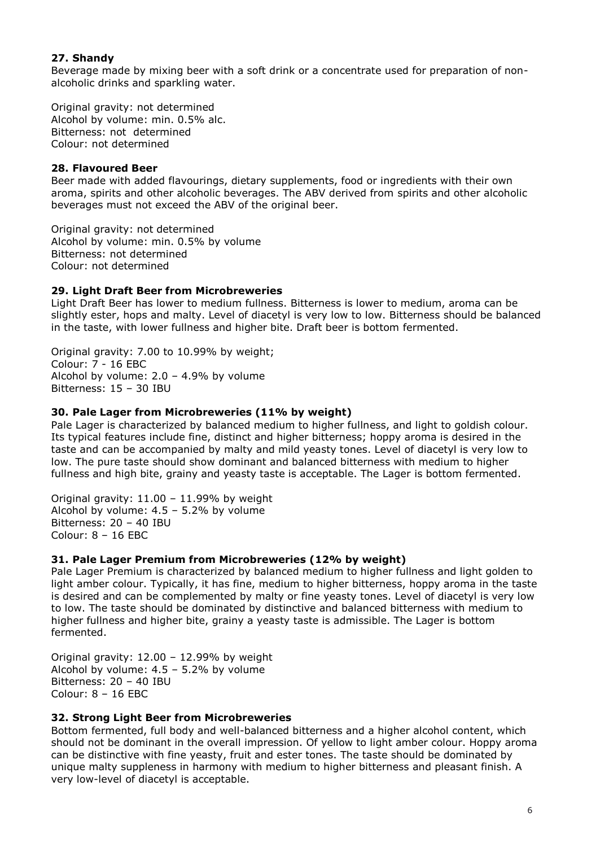# **27. Shandy**

Beverage made by mixing beer with a soft drink or a concentrate used for preparation of nonalcoholic drinks and sparkling water.

Original gravity: not determined Alcohol by volume: min. 0.5% alc. Bitterness: not determined Colour: not determined

## **28. Flavoured Beer**

Beer made with added flavourings, dietary supplements, food or ingredients with their own aroma, spirits and other alcoholic beverages. The ABV derived from spirits and other alcoholic beverages must not exceed the ABV of the original beer.

Original gravity: not determined Alcohol by volume: min. 0.5% by volume Bitterness: not determined Colour: not determined

#### **29. Light Draft Beer from Microbreweries**

Light Draft Beer has lower to medium fullness. Bitterness is lower to medium, aroma can be slightly ester, hops and malty. Level of diacetyl is very low to low. Bitterness should be balanced in the taste, with lower fullness and higher bite. Draft beer is bottom fermented.

Original gravity: 7.00 to 10.99% by weight; Colour: 7 - 16 EBC Alcohol by volume: 2.0 – 4.9% by volume Bitterness: 15 – 30 IBU

#### **30. Pale Lager from Microbreweries (11% by weight)**

Pale Lager is characterized by balanced medium to higher fullness, and light to goldish colour. Its typical features include fine, distinct and higher bitterness; hoppy aroma is desired in the taste and can be accompanied by malty and mild yeasty tones. Level of diacetyl is very low to low. The pure taste should show dominant and balanced bitterness with medium to higher fullness and high bite, grainy and yeasty taste is acceptable. The Lager is bottom fermented.

Original gravity: 11.00 – 11.99% by weight Alcohol by volume: 4.5 – 5.2% by volume Bitterness: 20 – 40 IBU Colour: 8 – 16 EBC

#### **31. Pale Lager Premium from Microbreweries (12% by weight)**

Pale Lager Premium is characterized by balanced medium to higher fullness and light golden to light amber colour. Typically, it has fine, medium to higher bitterness, hoppy aroma in the taste is desired and can be complemented by malty or fine yeasty tones. Level of diacetyl is very low to low. The taste should be dominated by distinctive and balanced bitterness with medium to higher fullness and higher bite, grainy a yeasty taste is admissible. The Lager is bottom fermented.

Original gravity: 12.00 – 12.99% by weight Alcohol by volume: 4.5 – 5.2% by volume Bitterness: 20 – 40 IBU Colour: 8 – 16 EBC

#### **32. Strong Light Beer from Microbreweries**

Bottom fermented, full body and well-balanced bitterness and a higher alcohol content, which should not be dominant in the overall impression. Of yellow to light amber colour. Hoppy aroma can be distinctive with fine yeasty, fruit and ester tones. The taste should be dominated by unique malty suppleness in harmony with medium to higher bitterness and pleasant finish. A very low-level of diacetyl is acceptable.